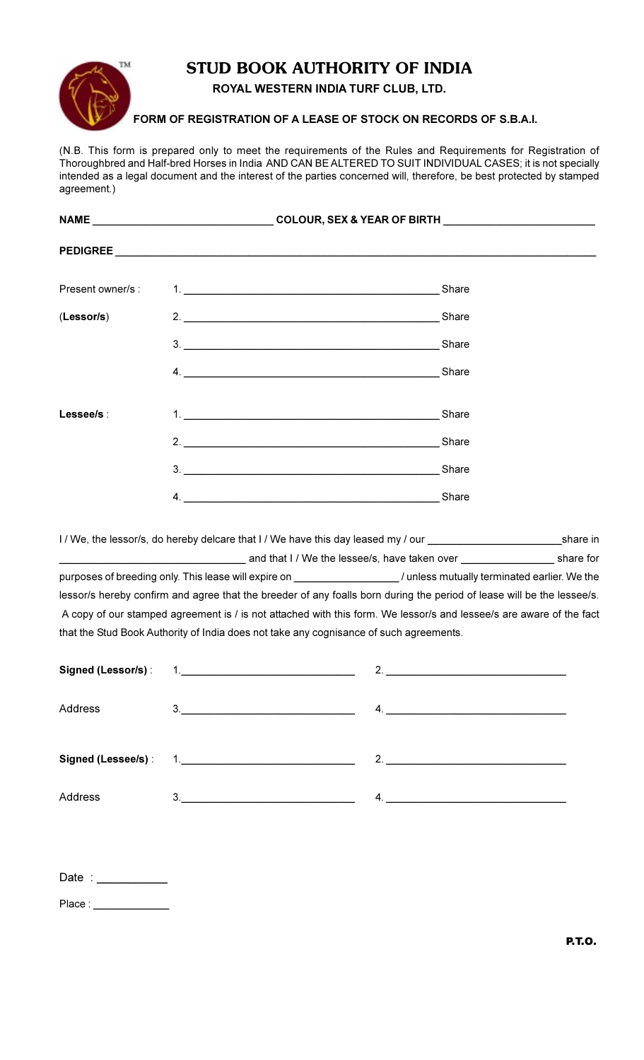## **TM**

## **STUD BOOK AUTHORITY OF INDIA**

## ROYAL WESTERN INDIA TURF CLUB, LTD.

FORM OF REGISTRATION OF A LEASE OF STOCK ON RECORDS OF S.B.A.I.

(N.B. This form is prepared only to meet the requirements of the Rules and Requirements for Registration of Thoroughbred and Half-bred Horses in India AND CAN BE ALTERED TO SUIT INDIVIDUAL CASES; it is not specially intended as a legal document and the interest of the parties concerned will, therefore, be best protected by stamped agreement.)

|                   |    | COLOUR, SEX & YEAR OF BIRTH NAME AND RESERVE TO A RESERVE THE RESERVE THAT A RESERVE THE RESERVE THAT A RESERVE THAT A RESERVE THAT A RESERVE THAT A RESERVE THAT A RESERVE THAT A RESERVE THAT A REPORT OF THE RESERVE THAT A |  |  |
|-------------------|----|--------------------------------------------------------------------------------------------------------------------------------------------------------------------------------------------------------------------------------|--|--|
|                   |    |                                                                                                                                                                                                                                |  |  |
| Present owner/s : |    | Share                                                                                                                                                                                                                          |  |  |
| (Lessor/s)        |    | Share                                                                                                                                                                                                                          |  |  |
|                   | 3. | Share<br><u> 1989 - John Stein, Amerikaansk politiker (</u> † 1920)                                                                                                                                                            |  |  |
|                   | 4. | <b>Example 2016</b> Share Share Share                                                                                                                                                                                          |  |  |
| Lessee/s:         |    | Share                                                                                                                                                                                                                          |  |  |
|                   |    | 2.<br>Share                                                                                                                                                                                                                    |  |  |
|                   | 3. | Share<br><u> 1980 - Johann Barn, mars ann an t-Amhainn an t-Amhainn an t-Amhainn an t-Amhainn an t-Amhainn an t-Amhainn an</u>                                                                                                 |  |  |
|                   | 4. | Share                                                                                                                                                                                                                          |  |  |

I/We, the lessor/s, do hereby delcare that I/We have this day leased my / our \_\_ share in and that I / We the lessee/s, have taken over share for purposes of breeding only. This lease will expire on \_\_\_\_\_\_\_\_\_\_\_\_\_\_\_\_\_\_\_\_\_\_\_/ unless mutually terminated earlier. We the lessor/s hereby confirm and agree that the breeder of any foalls born during the period of lease will be the lessee/s. A copy of our stamped agreement is / is not attached with this form. We lessor/s and lessee/s are aware of the fact that the Stud Book Authority of India does not take any cognisance of such agreements.

|         | 2. $\qquad \qquad$ |
|---------|--------------------|
| Address | $\mathcal{A}$ .    |
|         | 2. $\qquad \qquad$ |
| Address |                    |

| Date : |  |  |  |
|--------|--|--|--|
| Place: |  |  |  |